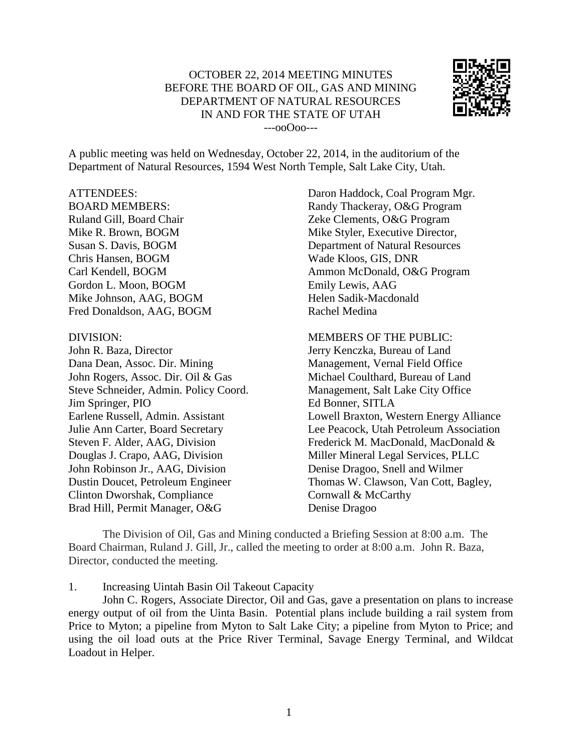# OCTOBER 22, 2014 MEETING MINUTES BEFORE THE BOARD OF OIL, GAS AND MINING DEPARTMENT OF NATURAL RESOURCES IN AND FOR THE STATE OF UTAH ---ooOoo---



A public meeting was held on Wednesday, October 22, 2014, in the auditorium of the Department of Natural Resources, 1594 West North Temple, Salt Lake City, Utah.

### ATTENDEES:

BOARD MEMBERS: Ruland Gill, Board Chair Mike R. Brown, BOGM Susan S. Davis, BOGM Chris Hansen, BOGM Carl Kendell, BOGM Gordon L. Moon, BOGM Mike Johnson, AAG, BOGM Fred Donaldson, AAG, BOGM

#### DIVISION:

John R. Baza, Director Dana Dean, Assoc. Dir. Mining John Rogers, Assoc. Dir. Oil & Gas Steve Schneider, Admin. Policy Coord. Jim Springer, PIO Earlene Russell, Admin. Assistant Julie Ann Carter, Board Secretary Steven F. Alder, AAG, Division Douglas J. Crapo, AAG, Division John Robinson Jr., AAG, Division Dustin Doucet, Petroleum Engineer Clinton Dworshak, Compliance Brad Hill, Permit Manager, O&G

Daron Haddock, Coal Program Mgr. Randy Thackeray, O&G Program Zeke Clements, O&G Program Mike Styler, Executive Director, Department of Natural Resources Wade Kloos, GIS, DNR Ammon McDonald, O&G Program Emily Lewis, AAG Helen Sadik-Macdonald Rachel Medina

#### MEMBERS OF THE PUBLIC:

Jerry Kenczka, Bureau of Land Management, Vernal Field Office Michael Coulthard, Bureau of Land Management, Salt Lake City Office Ed Bonner, SITLA Lowell Braxton, Western Energy Alliance Lee Peacock, Utah Petroleum Association Frederick M. MacDonald, MacDonald & Miller Mineral Legal Services, PLLC Denise Dragoo, Snell and Wilmer Thomas W. Clawson, Van Cott, Bagley, Cornwall & McCarthy Denise Dragoo

The Division of Oil, Gas and Mining conducted a Briefing Session at 8:00 a.m. The Board Chairman, Ruland J. Gill, Jr., called the meeting to order at 8:00 a.m. John R. Baza, Director, conducted the meeting.

1. Increasing Uintah Basin Oil Takeout Capacity

John C. Rogers, Associate Director, Oil and Gas, gave a presentation on plans to increase energy output of oil from the Uinta Basin. Potential plans include building a rail system from Price to Myton; a pipeline from Myton to Salt Lake City; a pipeline from Myton to Price; and using the oil load outs at the Price River Terminal, Savage Energy Terminal, and Wildcat Loadout in Helper.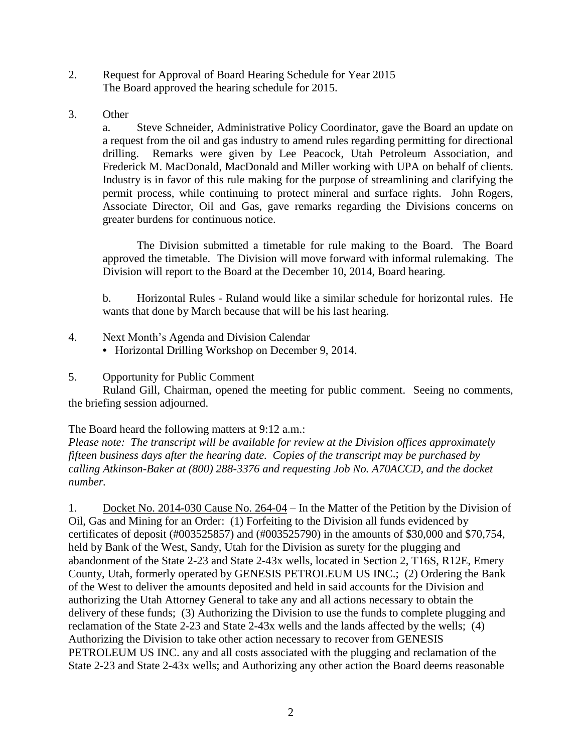- 2. Request for Approval of Board Hearing Schedule for Year 2015 The Board approved the hearing schedule for 2015.
- 3. Other

a. Steve Schneider, Administrative Policy Coordinator, gave the Board an update on a request from the oil and gas industry to amend rules regarding permitting for directional drilling. Remarks were given by Lee Peacock, Utah Petroleum Association, and Frederick M. MacDonald, MacDonald and Miller working with UPA on behalf of clients. Industry is in favor of this rule making for the purpose of streamlining and clarifying the permit process, while continuing to protect mineral and surface rights. John Rogers, Associate Director, Oil and Gas, gave remarks regarding the Divisions concerns on greater burdens for continuous notice.

The Division submitted a timetable for rule making to the Board. The Board approved the timetable. The Division will move forward with informal rulemaking. The Division will report to the Board at the December 10, 2014, Board hearing.

b. Horizontal Rules - Ruland would like a similar schedule for horizontal rules. He wants that done by March because that will be his last hearing.

- 4. Next Month's Agenda and Division Calendar
	- **•** Horizontal Drilling Workshop on December 9, 2014.
- 5. Opportunity for Public Comment

Ruland Gill, Chairman, opened the meeting for public comment. Seeing no comments, the briefing session adjourned.

The Board heard the following matters at 9:12 a.m.:

*Please note: The transcript will be available for review at the Division offices approximately fifteen business days after the hearing date. Copies of the transcript may be purchased by calling Atkinson-Baker at (800) 288-3376 and requesting Job No. A70ACCD, and the docket number.*

1. Docket No. 2014-030 Cause No. 264-04 – In the Matter of the Petition by the Division of Oil, Gas and Mining for an Order: (1) Forfeiting to the Division all funds evidenced by certificates of deposit (#003525857) and (#003525790) in the amounts of \$30,000 and \$70,754, held by Bank of the West, Sandy, Utah for the Division as surety for the plugging and abandonment of the State 2-23 and State 2-43x wells, located in Section 2, T16S, R12E, Emery County, Utah, formerly operated by GENESIS PETROLEUM US INC.; (2) Ordering the Bank of the West to deliver the amounts deposited and held in said accounts for the Division and authorizing the Utah Attorney General to take any and all actions necessary to obtain the delivery of these funds; (3) Authorizing the Division to use the funds to complete plugging and reclamation of the State 2-23 and State 2-43x wells and the lands affected by the wells; (4) Authorizing the Division to take other action necessary to recover from GENESIS PETROLEUM US INC. any and all costs associated with the plugging and reclamation of the State 2-23 and State 2-43x wells; and Authorizing any other action the Board deems reasonable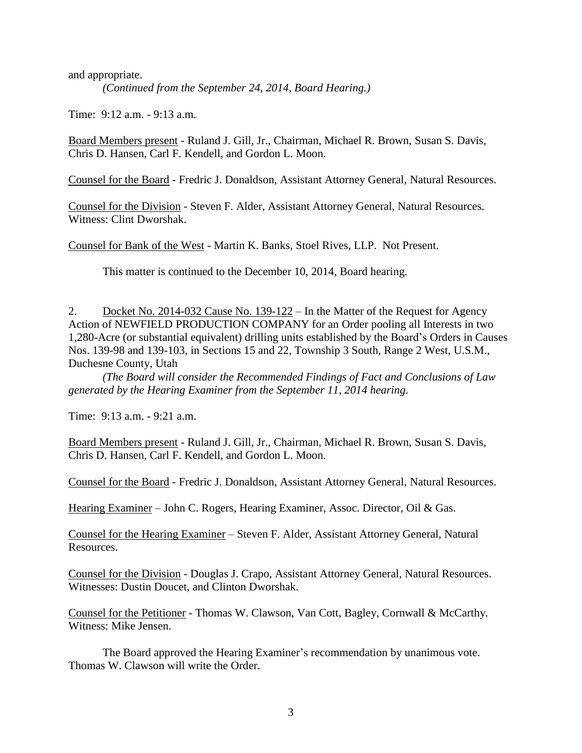and appropriate.

*(Continued from the September 24, 2014, Board Hearing.)*

Time: 9:12 a.m. - 9:13 a.m.

Board Members present - Ruland J. Gill, Jr., Chairman, Michael R. Brown, Susan S. Davis, Chris D. Hansen, Carl F. Kendell, and Gordon L. Moon.

Counsel for the Board - Fredric J. Donaldson, Assistant Attorney General, Natural Resources.

Counsel for the Division - Steven F. Alder, Assistant Attorney General, Natural Resources. Witness: Clint Dworshak.

Counsel for Bank of the West - Martin K. Banks, Stoel Rives, LLP. Not Present.

This matter is continued to the December 10, 2014, Board hearing.

2. Docket No. 2014-032 Cause No. 139-122 – In the Matter of the Request for Agency Action of NEWFIELD PRODUCTION COMPANY for an Order pooling all Interests in two 1,280-Acre (or substantial equivalent) drilling units established by the Board's Orders in Causes Nos. 139-98 and 139-103, in Sections 15 and 22, Township 3 South, Range 2 West, U.S.M., Duchesne County, Utah

*(The Board will consider the Recommended Findings of Fact and Conclusions of Law generated by the Hearing Examiner from the September 11, 2014 hearing.*

Time: 9:13 a.m. - 9:21 a.m.

Board Members present - Ruland J. Gill, Jr., Chairman, Michael R. Brown, Susan S. Davis, Chris D. Hansen, Carl F. Kendell, and Gordon L. Moon.

Counsel for the Board - Fredric J. Donaldson, Assistant Attorney General, Natural Resources.

Hearing Examiner – John C. Rogers, Hearing Examiner, Assoc. Director, Oil & Gas.

Counsel for the Hearing Examiner – Steven F. Alder, Assistant Attorney General, Natural Resources.

Counsel for the Division - Douglas J. Crapo, Assistant Attorney General, Natural Resources. Witnesses: Dustin Doucet, and Clinton Dworshak.

Counsel for the Petitioner - Thomas W. Clawson, Van Cott, Bagley, Cornwall & McCarthy. Witness: Mike Jensen.

The Board approved the Hearing Examiner's recommendation by unanimous vote. Thomas W. Clawson will write the Order.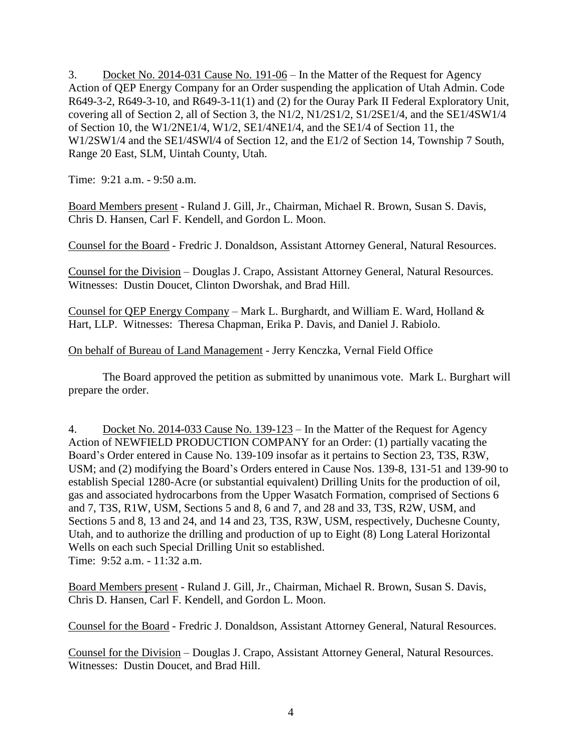3. Docket No. 2014-031 Cause No. 191-06 – In the Matter of the Request for Agency Action of QEP Energy Company for an Order suspending the application of Utah Admin. Code R649-3-2, R649-3-10, and R649-3-11(1) and (2) for the Ouray Park II Federal Exploratory Unit, covering all of Section 2, all of Section 3, the N1/2, N1/2S1/2, S1/2SE1/4, and the SE1/4SW1/4 of Section 10, the W1/2NE1/4, W1/2, SE1/4NE1/4, and the SE1/4 of Section 11, the W1/2SW1/4 and the SE1/4SWl/4 of Section 12, and the E1/2 of Section 14, Township 7 South, Range 20 East, SLM, Uintah County, Utah.

Time: 9:21 a.m. - 9:50 a.m.

Board Members present - Ruland J. Gill, Jr., Chairman, Michael R. Brown, Susan S. Davis, Chris D. Hansen, Carl F. Kendell, and Gordon L. Moon.

Counsel for the Board - Fredric J. Donaldson, Assistant Attorney General, Natural Resources.

Counsel for the Division – Douglas J. Crapo, Assistant Attorney General, Natural Resources. Witnesses: Dustin Doucet, Clinton Dworshak, and Brad Hill.

Counsel for QEP Energy Company – Mark L. Burghardt, and William E. Ward, Holland & Hart, LLP. Witnesses: Theresa Chapman, Erika P. Davis, and Daniel J. Rabiolo.

# On behalf of Bureau of Land Management - Jerry Kenczka, Vernal Field Office

The Board approved the petition as submitted by unanimous vote. Mark L. Burghart will prepare the order.

4. Docket No. 2014-033 Cause No. 139-123 – In the Matter of the Request for Agency Action of NEWFIELD PRODUCTION COMPANY for an Order: (1) partially vacating the Board's Order entered in Cause No. 139-109 insofar as it pertains to Section 23, T3S, R3W, USM; and (2) modifying the Board's Orders entered in Cause Nos. 139-8, 131-51 and 139-90 to establish Special 1280-Acre (or substantial equivalent) Drilling Units for the production of oil, gas and associated hydrocarbons from the Upper Wasatch Formation, comprised of Sections 6 and 7, T3S, R1W, USM, Sections 5 and 8, 6 and 7, and 28 and 33, T3S, R2W, USM, and Sections 5 and 8, 13 and 24, and 14 and 23, T3S, R3W, USM, respectively, Duchesne County, Utah, and to authorize the drilling and production of up to Eight (8) Long Lateral Horizontal Wells on each such Special Drilling Unit so established. Time: 9:52 a.m. - 11:32 a.m.

Board Members present - Ruland J. Gill, Jr., Chairman, Michael R. Brown, Susan S. Davis, Chris D. Hansen, Carl F. Kendell, and Gordon L. Moon.

Counsel for the Board - Fredric J. Donaldson, Assistant Attorney General, Natural Resources.

Counsel for the Division – Douglas J. Crapo, Assistant Attorney General, Natural Resources. Witnesses: Dustin Doucet, and Brad Hill.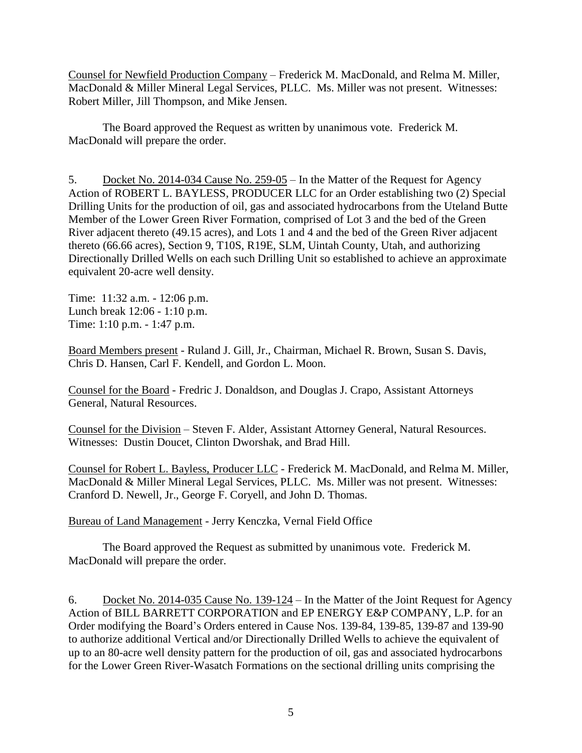Counsel for Newfield Production Company – Frederick M. MacDonald, and Relma M. Miller, MacDonald & Miller Mineral Legal Services, PLLC. Ms. Miller was not present. Witnesses: Robert Miller, Jill Thompson, and Mike Jensen.

The Board approved the Request as written by unanimous vote. Frederick M. MacDonald will prepare the order.

5. Docket No. 2014-034 Cause No. 259-05 – In the Matter of the Request for Agency Action of ROBERT L. BAYLESS, PRODUCER LLC for an Order establishing two (2) Special Drilling Units for the production of oil, gas and associated hydrocarbons from the Uteland Butte Member of the Lower Green River Formation, comprised of Lot 3 and the bed of the Green River adjacent thereto (49.15 acres), and Lots 1 and 4 and the bed of the Green River adjacent thereto (66.66 acres), Section 9, T10S, R19E, SLM, Uintah County, Utah, and authorizing Directionally Drilled Wells on each such Drilling Unit so established to achieve an approximate equivalent 20-acre well density.

Time: 11:32 a.m. - 12:06 p.m. Lunch break 12:06 - 1:10 p.m. Time: 1:10 p.m. - 1:47 p.m.

Board Members present - Ruland J. Gill, Jr., Chairman, Michael R. Brown, Susan S. Davis, Chris D. Hansen, Carl F. Kendell, and Gordon L. Moon.

Counsel for the Board - Fredric J. Donaldson, and Douglas J. Crapo, Assistant Attorneys General, Natural Resources.

Counsel for the Division – Steven F. Alder, Assistant Attorney General, Natural Resources. Witnesses: Dustin Doucet, Clinton Dworshak, and Brad Hill.

Counsel for Robert L. Bayless, Producer LLC - Frederick M. MacDonald, and Relma M. Miller, MacDonald & Miller Mineral Legal Services, PLLC. Ms. Miller was not present. Witnesses: Cranford D. Newell, Jr., George F. Coryell, and John D. Thomas.

Bureau of Land Management - Jerry Kenczka, Vernal Field Office

The Board approved the Request as submitted by unanimous vote. Frederick M. MacDonald will prepare the order.

6. Docket No. 2014-035 Cause No. 139-124 – In the Matter of the Joint Request for Agency Action of BILL BARRETT CORPORATION and EP ENERGY E&P COMPANY, L.P. for an Order modifying the Board's Orders entered in Cause Nos. 139-84, 139-85, 139-87 and 139-90 to authorize additional Vertical and/or Directionally Drilled Wells to achieve the equivalent of up to an 80-acre well density pattern for the production of oil, gas and associated hydrocarbons for the Lower Green River-Wasatch Formations on the sectional drilling units comprising the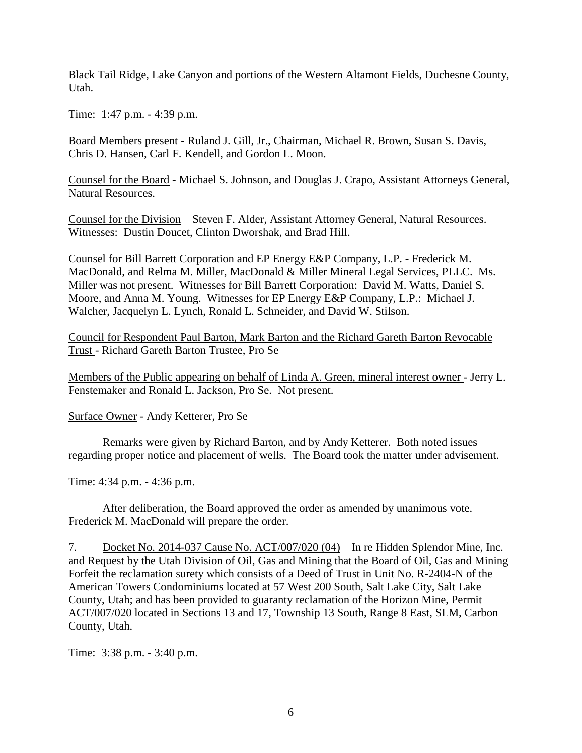Black Tail Ridge, Lake Canyon and portions of the Western Altamont Fields, Duchesne County, Utah.

Time: 1:47 p.m. - 4:39 p.m.

Board Members present - Ruland J. Gill, Jr., Chairman, Michael R. Brown, Susan S. Davis, Chris D. Hansen, Carl F. Kendell, and Gordon L. Moon.

Counsel for the Board - Michael S. Johnson, and Douglas J. Crapo, Assistant Attorneys General, Natural Resources.

Counsel for the Division – Steven F. Alder, Assistant Attorney General, Natural Resources. Witnesses: Dustin Doucet, Clinton Dworshak, and Brad Hill.

Counsel for Bill Barrett Corporation and EP Energy E&P Company, L.P. - Frederick M. MacDonald, and Relma M. Miller, MacDonald & Miller Mineral Legal Services, PLLC. Ms. Miller was not present. Witnesses for Bill Barrett Corporation: David M. Watts, Daniel S. Moore, and Anna M. Young. Witnesses for EP Energy E&P Company, L.P.: Michael J. Walcher, Jacquelyn L. Lynch, Ronald L. Schneider, and David W. Stilson.

Council for Respondent Paul Barton, Mark Barton and the Richard Gareth Barton Revocable Trust - Richard Gareth Barton Trustee, Pro Se

Members of the Public appearing on behalf of Linda A. Green, mineral interest owner - Jerry L. Fenstemaker and Ronald L. Jackson, Pro Se. Not present.

Surface Owner - Andy Ketterer, Pro Se

Remarks were given by Richard Barton, and by Andy Ketterer. Both noted issues regarding proper notice and placement of wells. The Board took the matter under advisement.

Time: 4:34 p.m. - 4:36 p.m.

After deliberation, the Board approved the order as amended by unanimous vote. Frederick M. MacDonald will prepare the order.

7. Docket No. 2014-037 Cause No. ACT/007/020 (04) – In re Hidden Splendor Mine, Inc. and Request by the Utah Division of Oil, Gas and Mining that the Board of Oil, Gas and Mining Forfeit the reclamation surety which consists of a Deed of Trust in Unit No. R-2404-N of the American Towers Condominiums located at 57 West 200 South, Salt Lake City, Salt Lake County, Utah; and has been provided to guaranty reclamation of the Horizon Mine, Permit ACT/007/020 located in Sections 13 and 17, Township 13 South, Range 8 East, SLM, Carbon County, Utah.

Time: 3:38 p.m. - 3:40 p.m.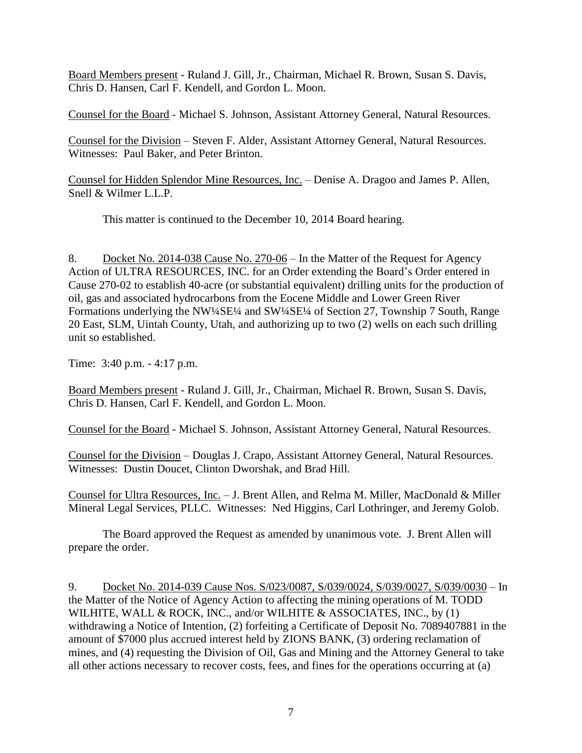Board Members present - Ruland J. Gill, Jr., Chairman, Michael R. Brown, Susan S. Davis, Chris D. Hansen, Carl F. Kendell, and Gordon L. Moon.

Counsel for the Board - Michael S. Johnson, Assistant Attorney General, Natural Resources.

Counsel for the Division – Steven F. Alder, Assistant Attorney General, Natural Resources. Witnesses: Paul Baker, and Peter Brinton.

Counsel for Hidden Splendor Mine Resources, Inc. – Denise A. Dragoo and James P. Allen, Snell & Wilmer L.L.P.

This matter is continued to the December 10, 2014 Board hearing.

8. Docket No. 2014-038 Cause No. 270-06 – In the Matter of the Request for Agency Action of ULTRA RESOURCES, INC. for an Order extending the Board's Order entered in Cause 270-02 to establish 40-acre (or substantial equivalent) drilling units for the production of oil, gas and associated hydrocarbons from the Eocene Middle and Lower Green River Formations underlying the NW¼SE¼ and SW¼SE¼ of Section 27, Township 7 South, Range 20 East, SLM, Uintah County, Utah, and authorizing up to two (2) wells on each such drilling unit so established.

Time: 3:40 p.m. - 4:17 p.m.

Board Members present - Ruland J. Gill, Jr., Chairman, Michael R. Brown, Susan S. Davis, Chris D. Hansen, Carl F. Kendell, and Gordon L. Moon.

Counsel for the Board - Michael S. Johnson, Assistant Attorney General, Natural Resources.

Counsel for the Division – Douglas J. Crapo, Assistant Attorney General, Natural Resources. Witnesses: Dustin Doucet, Clinton Dworshak, and Brad Hill.

Counsel for Ultra Resources, Inc. – J. Brent Allen, and Relma M. Miller, MacDonald & Miller Mineral Legal Services, PLLC. Witnesses: Ned Higgins, Carl Lothringer, and Jeremy Golob.

The Board approved the Request as amended by unanimous vote. J. Brent Allen will prepare the order.

9. Docket No. 2014-039 Cause Nos. S/023/0087, S/039/0024, S/039/0027, S/039/0030 – In the Matter of the Notice of Agency Action to affecting the mining operations of M. TODD WILHITE, WALL & ROCK, INC., and/or WILHITE & ASSOCIATES, INC., by (1) withdrawing a Notice of Intention, (2) forfeiting a Certificate of Deposit No. 7089407881 in the amount of \$7000 plus accrued interest held by ZIONS BANK, (3) ordering reclamation of mines, and (4) requesting the Division of Oil, Gas and Mining and the Attorney General to take all other actions necessary to recover costs, fees, and fines for the operations occurring at (a)